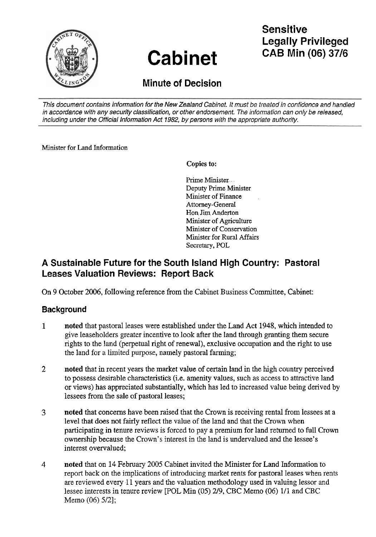

# **Cabinet**

# **Sensitive Legally Privileged CAB Min (06) 3716**

## **Minute of Decision**

This document contains information for the New Zealand Cabinet. It must be treated in confidence and handled in accordance with any security classification, or other endorsement. The information can only be released, including under the Official Information Act 1982, by persons with the appropriate authority.

Minister for Land Information

**Copies to:** 

Prime Minister Deputy Prime Minister Minister of Finance Attorney-General Hon Jim Anderton Minister of Agriculture Minister of Conservation Minister for Rural Affairs Secretary, POL

## **A Sustainable Future for the South Island High Country: Pastoral Leases Valuation Reviews: Report Back**

On 9 October 2006, following reference from the Cabinet Business Committee, Cabinet:

### **Background**

- **1** noted that pastoral leases were established under the Land Act 1948, which intended to give leaseholders greater incentive to look after the land through granting them secure rights to the land (perpetual right of renewal), exclusive occupation and the right to use the land for a limited purpose, namely pastoral farming;
- **2** noted that in recent years the market value of certain land in the high country perceived to possess desirable characteristics (i.e. amenity values, such as access to attractive land or views) has appreciated substantially, which has led to increased value being derived by lessees from the sale of pastoral leases;
- *3* noted that concerns have been raised that the Crown is receiving rental from lessees at a level that does not fairly reflect the value of the land and that the Crown when participating in tenure reviews is forced to pay a premium for land returned to full Crown ownership because the Crown's interest in the land is undervalued and the lessee's interest overvalued;
- 4 noted that on 14 February 2005 Cabinet invited the Minister for Land Information to report back on the implications of introducing market rents for pastoral leases when rents are reviewed every 11 years and the valuation methodology used in valuing lessor and lessee interests in tenure review [POL Min (05) 219, CBC Memo (06) 111 and CBC Memo (06) 5/2];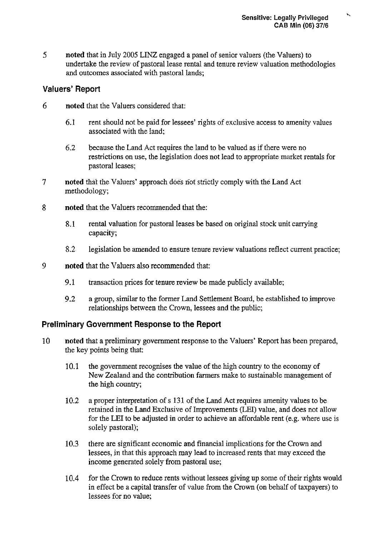*5* noted that in July 2005 LINZ engaged a panel of senior valuers (the Valuers) to undertake the review of pastoral lease rental and tenure review valuation methodologies and outcomes associated with pastoral lands;

#### **Valuers' Report**

- 6 noted that the Valuers considered that:
	- 6.1 rent should not be paid for lessees' rights of exclusive access to amenity values associated with the land;
	- 6.2 because the Land Act requires the land to be valued as if there were no restrictions on use, the legislation does not lead to appropriate market rentals for pastoral leases;
- 7 noted that the Valuers' approach does not strictly comply with the Land Act methodology;
- 8 noted that the Valuers recommended that the:
	- 8.1 rental valuation for pastoral leases be based on original stock unit carrying capacity;
	- 8.2 legislation be amended to ensure tenure review valuations reflect current practice;
- 9 noted that the Valuers also recommended that:
	- 9.1 transaction prices for tenure review be made publicly available;
	- 9.2 a group, similar to the former Land Settlement Board, be established to improve relationships between the Crown, lessees and the public;

#### **Preliminary Government Response to the Report**

- 10 noted that a preliminary govemment response to the Valuers' Report has been prepared, the key points being that:
	- 10.1 the govemment recognises the value of the high country to the economy of New Zealand and the contribution farmers make to sustainable management of the high country;
	- 10.2 a proper interpretation of s 131 of the Land Act requires amenity values to be retained in the Land Exclusive of Improvements (LEI) value, and does not allow for the LEI to be adjusted in order to achieve an affordable rent (e.g. where use is soIely pastoral);
	- 10.3 there are significant economic and financial implications for the Crown and lessees, in that this approach may lead to increased rents that may exceed the income generated solely from pastoral use;
	- 10.4 for the Crown to reduce rents without lessees giving up some of their rights would in effect be a capital transfer of value from the Crown (on behalf of taxpayers) to lessees for no value;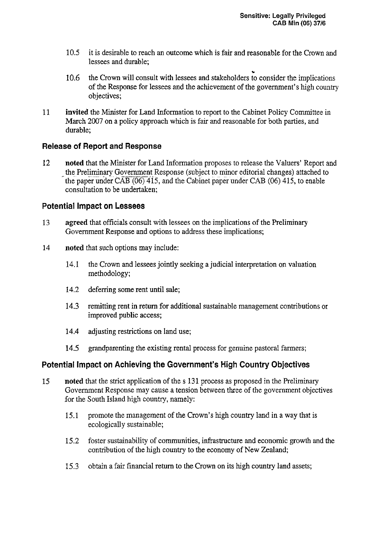- 10.5 it is desirable to reach an outcome which is fair and reasonable for the Crown and lessees and durable;
- 10.6 the Crown will consult with lessees and stakeholders to consider the implications of the Response for lessees and the achievement of the government's high country objectives;
- 11 invited the Minister for Land Information to report to the Cabinet Policy Committee in March 2007 on a policy approach which is fair and reasonable for both parties, and durable;

#### **Release of Report and Response**

12 noted that the Minister for Land Information proposes to release the Valuers' Report and the Preliminary Government Response (subject to minor editorial changes) attached to the paper under  $CAB(06)$  415, and the Cabinet paper under  $CAB(06)$  415, to enable consultation to be undertaken;

#### **Potential Impact on Lessees**

- 13 agreed that officials consult with lessees on the implications of the Preliminary Government Response and options to address these implications;
- 14 noted that such options may include:
	- 14.1 the Crown and lessees jointly seeking a judicial interpretation on valuation methodology;
	- 14.2 deferring some rent until sale;
	- 14.3 remitting rent in return for additional sustainable management contributions or improved public access;
	- 14.4 adjusting restrictions on land use;
	- 14.5 grandparenting the existing rental process for genuine pastoral farmers;

#### **Potential Impact on Achieving the Government's High Country Objectives**

- 15 noted that the strict application of the s 131 process as proposed in the Preliminary Government Response may cause a tension between three of the government objectives for the South Island high country, namely:
	- 15.1 promote the management of the Crown's high country land in a way that is ecologically sustainable;
	- 15.2 foster sustainability of communities, infrastructure and economic growth and the contribution of the high country to the economy of New Zealand;
	- 15.3 obtain a fair financial return to the Crown on its high country land assets;